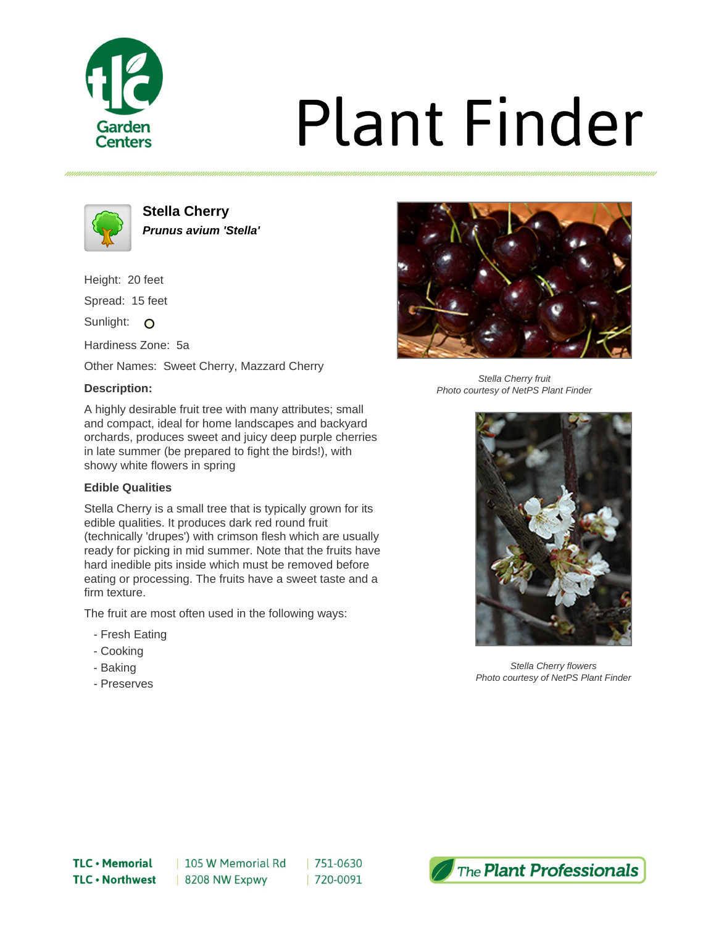

# **Plant Finder**



**Stella Cherry Prunus avium 'Stella'**

Height: 20 feet Spread: 15 feet

Sunlight: O

Hardiness Zone: 5a

Other Names: Sweet Cherry, Mazzard Cherry

### **Description:**



Stella Cherry fruit Photo courtesy of NetPS Plant Finder

A highly desirable fruit tree with many attributes; small and compact, ideal for home landscapes and backyard orchards, produces sweet and juicy deep purple cherries in late summer (be prepared to fight the birds!), with showy white flowers in spring

# **Edible Qualities**

Stella Cherry is a small tree that is typically grown for its edible qualities. It produces dark red round fruit (technically 'drupes') with crimson flesh which are usually ready for picking in mid summer. Note that the fruits have hard inedible pits inside which must be removed before eating or processing. The fruits have a sweet taste and a firm texture.

The fruit are most often used in the following ways:

- Fresh Eating
- Cooking
- Baking
- Preserves



Stella Cherry flowers Photo courtesy of NetPS Plant Finder